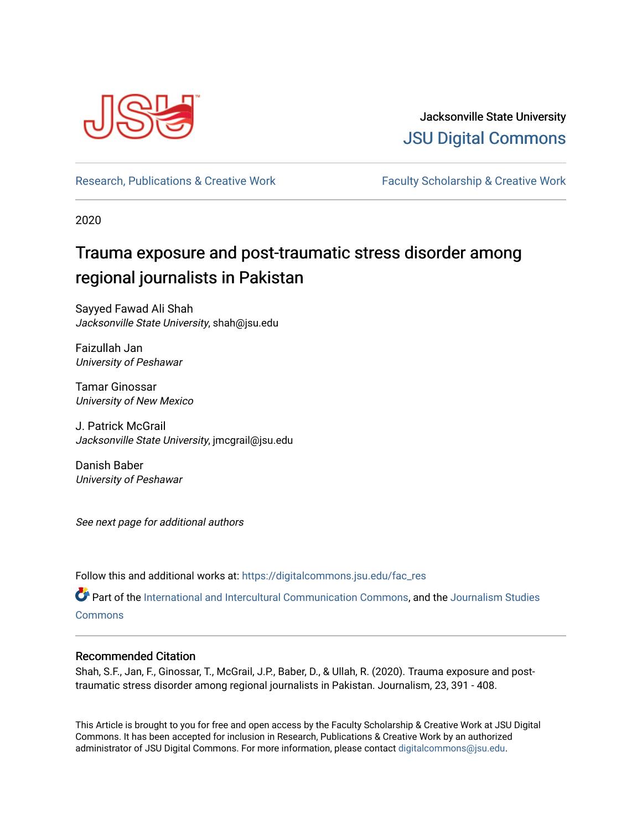

Jacksonville State University [JSU Digital Commons](https://digitalcommons.jsu.edu/) 

[Research, Publications & Creative Work](https://digitalcommons.jsu.edu/fac_res) Faculty Scholarship & Creative Work

2020

# Trauma exposure and post-traumatic stress disorder among regional journalists in Pakistan

Sayyed Fawad Ali Shah Jacksonville State University, shah@jsu.edu

Faizullah Jan University of Peshawar

Tamar Ginossar University of New Mexico

J. Patrick McGrail Jacksonville State University, jmcgrail@jsu.edu

Danish Baber University of Peshawar

See next page for additional authors

Follow this and additional works at: [https://digitalcommons.jsu.edu/fac\\_res](https://digitalcommons.jsu.edu/fac_res?utm_source=digitalcommons.jsu.edu%2Ffac_res%2F119&utm_medium=PDF&utm_campaign=PDFCoverPages) 

Part of the [International and Intercultural Communication Commons,](http://network.bepress.com/hgg/discipline/331?utm_source=digitalcommons.jsu.edu%2Ffac_res%2F119&utm_medium=PDF&utm_campaign=PDFCoverPages) and the [Journalism Studies](http://network.bepress.com/hgg/discipline/333?utm_source=digitalcommons.jsu.edu%2Ffac_res%2F119&utm_medium=PDF&utm_campaign=PDFCoverPages) [Commons](http://network.bepress.com/hgg/discipline/333?utm_source=digitalcommons.jsu.edu%2Ffac_res%2F119&utm_medium=PDF&utm_campaign=PDFCoverPages)

## Recommended Citation

Shah, S.F., Jan, F., Ginossar, T., McGrail, J.P., Baber, D., & Ullah, R. (2020). Trauma exposure and posttraumatic stress disorder among regional journalists in Pakistan. Journalism, 23, 391 - 408.

This Article is brought to you for free and open access by the Faculty Scholarship & Creative Work at JSU Digital Commons. It has been accepted for inclusion in Research, Publications & Creative Work by an authorized administrator of JSU Digital Commons. For more information, please contact [digitalcommons@jsu.edu.](mailto:digitalcommons@jsu.edu)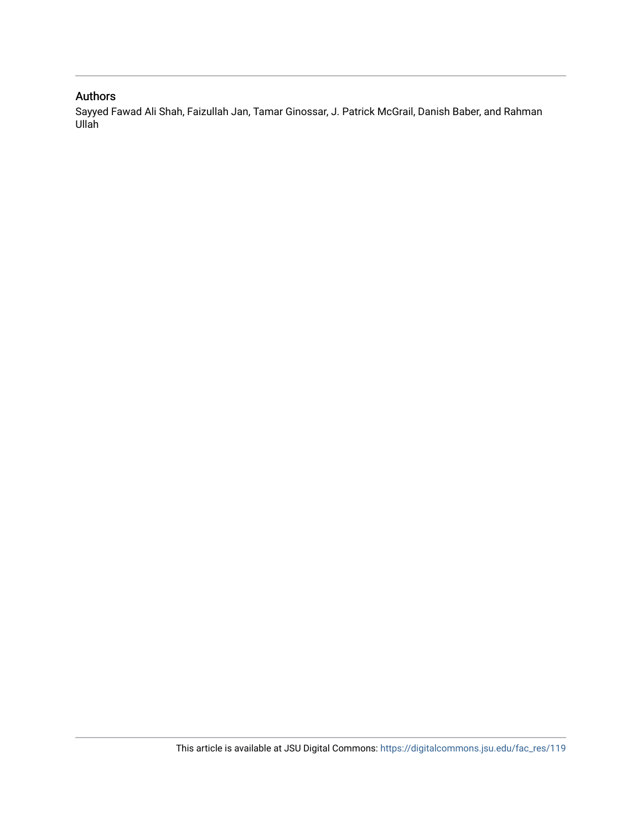# Authors

Sayyed Fawad Ali Shah, Faizullah Jan, Tamar Ginossar, J. Patrick McGrail, Danish Baber, and Rahman Ullah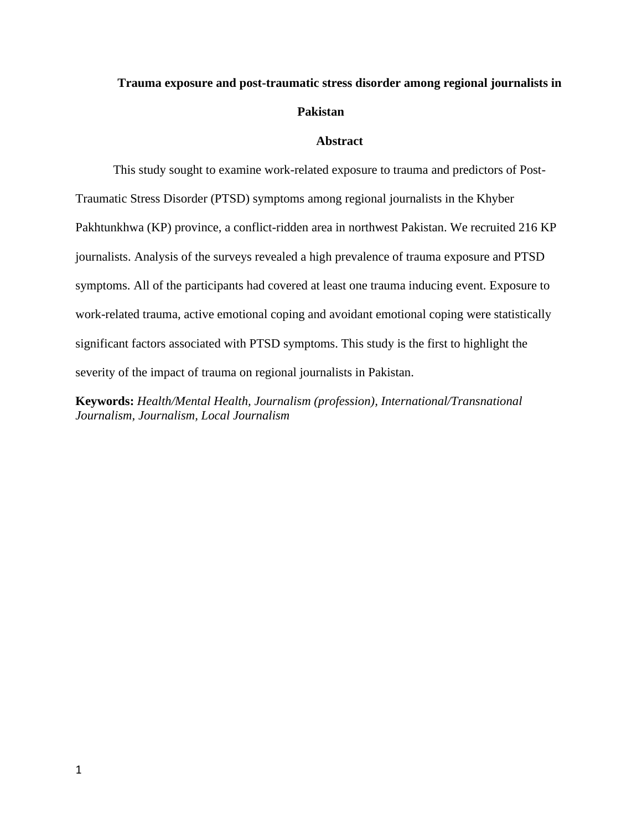# **Trauma exposure and post-traumatic stress disorder among regional journalists in Pakistan**

## **Abstract**

This study sought to examine work-related exposure to trauma and predictors of Post-Traumatic Stress Disorder (PTSD) symptoms among regional journalists in the Khyber Pakhtunkhwa (KP) province, a conflict-ridden area in northwest Pakistan. We recruited 216 KP journalists. Analysis of the surveys revealed a high prevalence of trauma exposure and PTSD symptoms. All of the participants had covered at least one trauma inducing event. Exposure to work-related trauma, active emotional coping and avoidant emotional coping were statistically significant factors associated with PTSD symptoms. This study is the first to highlight the severity of the impact of trauma on regional journalists in Pakistan.

**Keywords:** *Health/Mental Health, Journalism (profession), International/Transnational Journalism, Journalism, Local Journalism*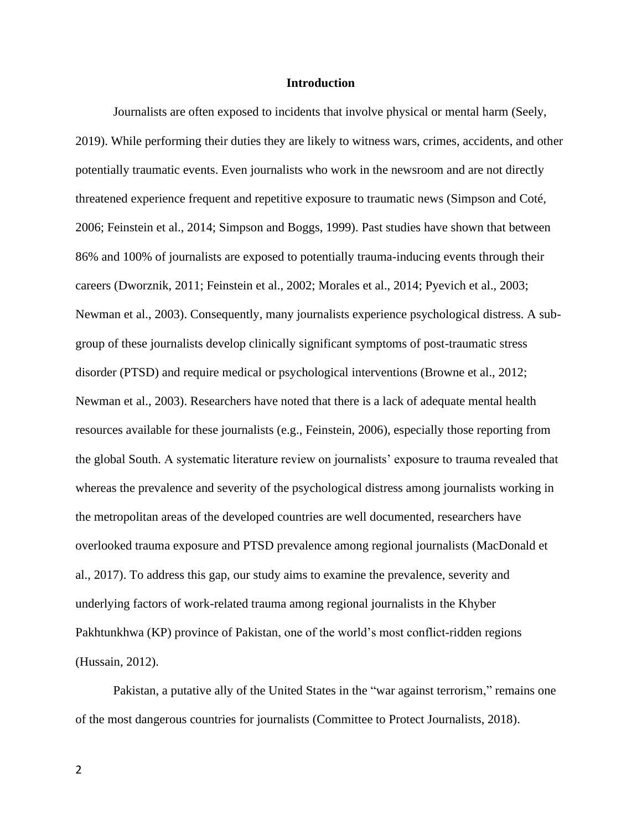#### **Introduction**

Journalists are often exposed to incidents that involve physical or mental harm (Seely, 2019). While performing their duties they are likely to witness wars, crimes, accidents, and other potentially traumatic events. Even journalists who work in the newsroom and are not directly threatened experience frequent and repetitive exposure to traumatic news (Simpson and Coté, 2006; Feinstein et al., 2014; Simpson and Boggs, 1999). Past studies have shown that between 86% and 100% of journalists are exposed to potentially trauma-inducing events through their careers (Dworznik, 2011; Feinstein et al., 2002; Morales et al., 2014; Pyevich et al., 2003; Newman et al., 2003). Consequently, many journalists experience psychological distress. A subgroup of these journalists develop clinically significant symptoms of post-traumatic stress disorder (PTSD) and require medical or psychological interventions (Browne et al., 2012; Newman et al., 2003). Researchers have noted that there is a lack of adequate mental health resources available for these journalists (e.g., Feinstein, 2006), especially those reporting from the global South. A systematic literature review on journalists' exposure to trauma revealed that whereas the prevalence and severity of the psychological distress among journalists working in the metropolitan areas of the developed countries are well documented, researchers have overlooked trauma exposure and PTSD prevalence among regional journalists (MacDonald et al., 2017). To address this gap, our study aims to examine the prevalence, severity and underlying factors of work-related trauma among regional journalists in the Khyber Pakhtunkhwa (KP) province of Pakistan, one of the world's most conflict-ridden regions (Hussain, 2012).

Pakistan, a putative ally of the United States in the "war against terrorism," remains one of the most dangerous countries for journalists (Committee to Protect Journalists, 2018).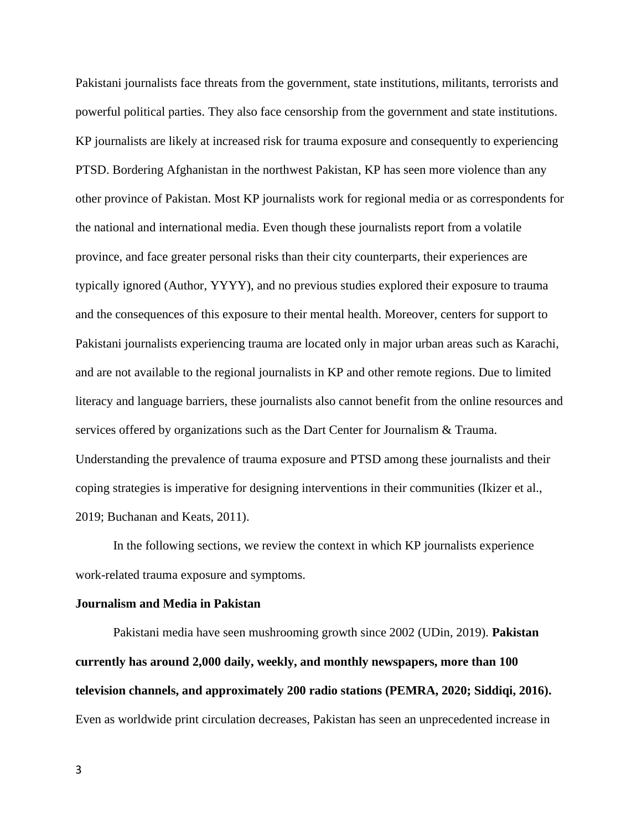Pakistani journalists face threats from the government, state institutions, militants, terrorists and powerful political parties. They also face censorship from the government and state institutions. KP journalists are likely at increased risk for trauma exposure and consequently to experiencing PTSD. Bordering Afghanistan in the northwest Pakistan, KP has seen more violence than any other province of Pakistan. Most KP journalists work for regional media or as correspondents for the national and international media. Even though these journalists report from a volatile province, and face greater personal risks than their city counterparts, their experiences are typically ignored (Author, YYYY), and no previous studies explored their exposure to trauma and the consequences of this exposure to their mental health. Moreover, centers for support to Pakistani journalists experiencing trauma are located only in major urban areas such as Karachi, and are not available to the regional journalists in KP and other remote regions. Due to limited literacy and language barriers, these journalists also cannot benefit from the online resources and services offered by organizations such as the Dart Center for Journalism & Trauma. Understanding the prevalence of trauma exposure and PTSD among these journalists and their coping strategies is imperative for designing interventions in their communities (Ikizer et al., 2019; Buchanan and Keats, 2011).

In the following sections, we review the context in which KP journalists experience work-related trauma exposure and symptoms.

#### **Journalism and Media in Pakistan**

Pakistani media have seen mushrooming growth since 2002 (UDin, 2019). **Pakistan currently has around 2,000 daily, weekly, and monthly newspapers, more than 100 television channels, and approximately 200 radio stations (PEMRA, 2020; Siddiqi, 2016).** Even as worldwide print circulation decreases, Pakistan has seen an unprecedented increase in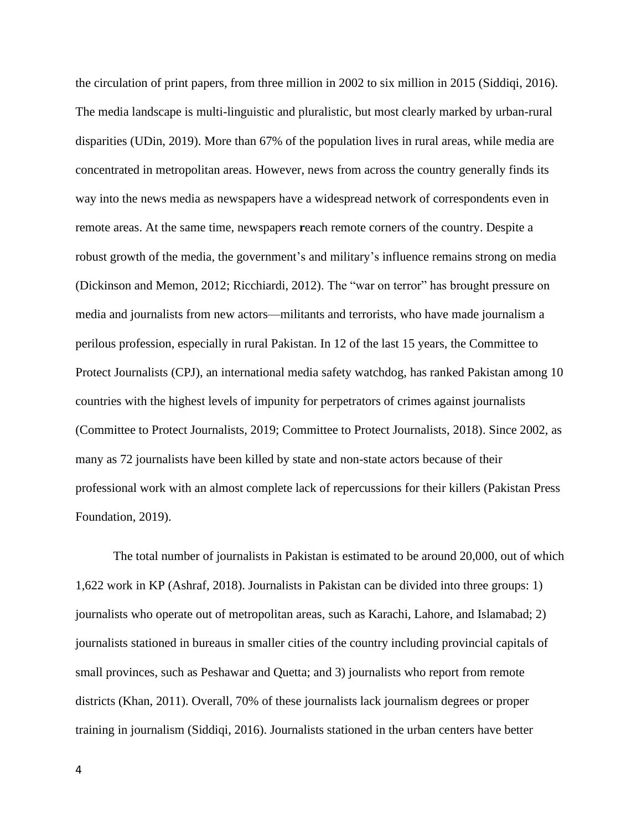the circulation of print papers, from three million in 2002 to six million in 2015 (Siddiqi, 2016). The media landscape is multi-linguistic and pluralistic, but most clearly marked by urban-rural disparities (UDin, 2019). More than 67% of the population lives in rural areas, while media are concentrated in metropolitan areas. However, news from across the country generally finds its way into the news media as newspapers have a widespread network of correspondents even in remote areas. At the same time, newspapers **r**each remote corners of the country. Despite a robust growth of the media, the government's and military's influence remains strong on media (Dickinson and Memon, 2012; Ricchiardi, 2012). The "war on terror" has brought pressure on media and journalists from new actors—militants and terrorists, who have made journalism a perilous profession, especially in rural Pakistan. In 12 of the last 15 years, the Committee to Protect Journalists (CPJ), an international media safety watchdog, has ranked Pakistan among 10 countries with the highest levels of impunity for perpetrators of crimes against journalists (Committee to Protect Journalists, 2019; Committee to Protect Journalists, 2018). Since 2002, as many as 72 journalists have been killed by state and non-state actors because of their professional work with an almost complete lack of repercussions for their killers (Pakistan Press Foundation, 2019).

The total number of journalists in Pakistan is estimated to be around 20,000, out of which 1,622 work in KP (Ashraf, 2018). Journalists in Pakistan can be divided into three groups: 1) journalists who operate out of metropolitan areas, such as Karachi, Lahore, and Islamabad; 2) journalists stationed in bureaus in smaller cities of the country including provincial capitals of small provinces, such as Peshawar and Quetta; and 3) journalists who report from remote districts (Khan, 2011). Overall, 70% of these journalists lack journalism degrees or proper training in journalism (Siddiqi, 2016). Journalists stationed in the urban centers have better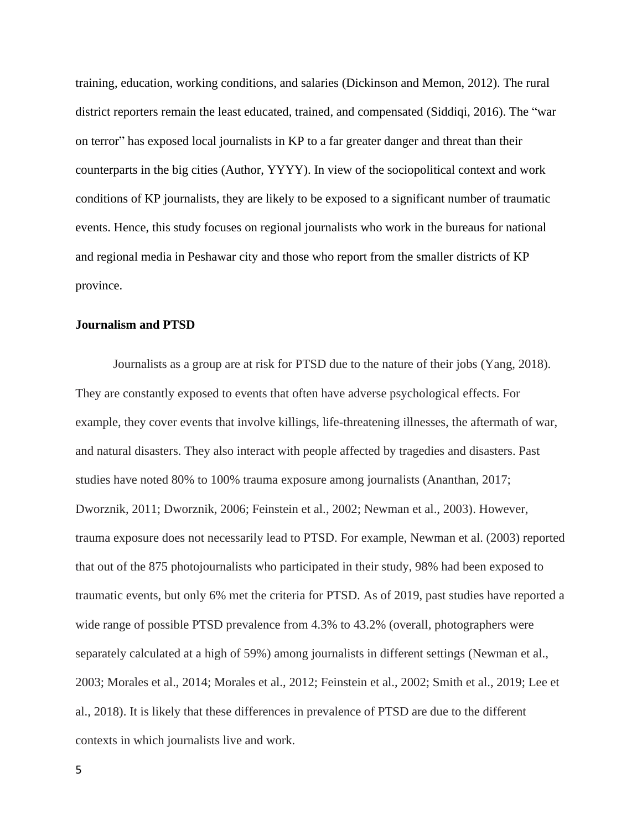training, education, working conditions, and salaries (Dickinson and Memon, 2012). The rural district reporters remain the least educated, trained, and compensated (Siddiqi, 2016). The "war on terror" has exposed local journalists in KP to a far greater danger and threat than their counterparts in the big cities (Author, YYYY). In view of the sociopolitical context and work conditions of KP journalists, they are likely to be exposed to a significant number of traumatic events. Hence, this study focuses on regional journalists who work in the bureaus for national and regional media in Peshawar city and those who report from the smaller districts of KP province.

## **Journalism and PTSD**

Journalists as a group are at risk for PTSD due to the nature of their jobs (Yang, 2018). They are constantly exposed to events that often have adverse psychological effects. For example, they cover events that involve killings, life-threatening illnesses, the aftermath of war, and natural disasters. They also interact with people affected by tragedies and disasters. Past studies have noted 80% to 100% trauma exposure among journalists (Ananthan, 2017; Dworznik, 2011; Dworznik, 2006; Feinstein et al., 2002; Newman et al., 2003). However, trauma exposure does not necessarily lead to PTSD. For example, Newman et al. (2003) reported that out of the 875 photojournalists who participated in their study, 98% had been exposed to traumatic events, but only 6% met the criteria for PTSD. As of 2019, past studies have reported a wide range of possible PTSD prevalence from 4.3% to 43.2% (overall, photographers were separately calculated at a high of 59%) among journalists in different settings (Newman et al., 2003; Morales et al., 2014; Morales et al., 2012; Feinstein et al., 2002; Smith et al., 2019; Lee et al., 2018). It is likely that these differences in prevalence of PTSD are due to the different contexts in which journalists live and work.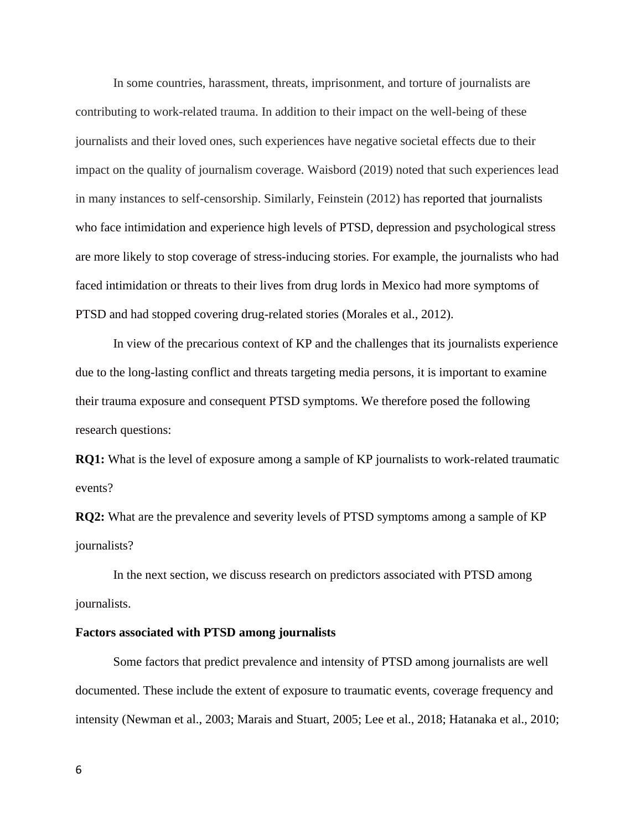In some countries, harassment, threats, imprisonment, and torture of journalists are contributing to work-related trauma. In addition to their impact on the well-being of these journalists and their loved ones, such experiences have negative societal effects due to their impact on the quality of journalism coverage. Waisbord (2019) noted that such experiences lead in many instances to self-censorship. Similarly, Feinstein (2012) has reported that journalists who face intimidation and experience high levels of PTSD, depression and psychological stress are more likely to stop coverage of stress-inducing stories. For example, the journalists who had faced intimidation or threats to their lives from drug lords in Mexico had more symptoms of PTSD and had stopped covering drug-related stories (Morales et al., 2012).

In view of the precarious context of KP and the challenges that its journalists experience due to the long-lasting conflict and threats targeting media persons, it is important to examine their trauma exposure and consequent PTSD symptoms. We therefore posed the following research questions:

**RQ1:** What is the level of exposure among a sample of KP journalists to work-related traumatic events?

**RQ2:** What are the prevalence and severity levels of PTSD symptoms among a sample of KP journalists?

In the next section, we discuss research on predictors associated with PTSD among journalists.

#### **Factors associated with PTSD among journalists**

Some factors that predict prevalence and intensity of PTSD among journalists are well documented. These include the extent of exposure to traumatic events, coverage frequency and intensity (Newman et al., 2003; Marais and Stuart, 2005; Lee et al., 2018; Hatanaka et al., 2010;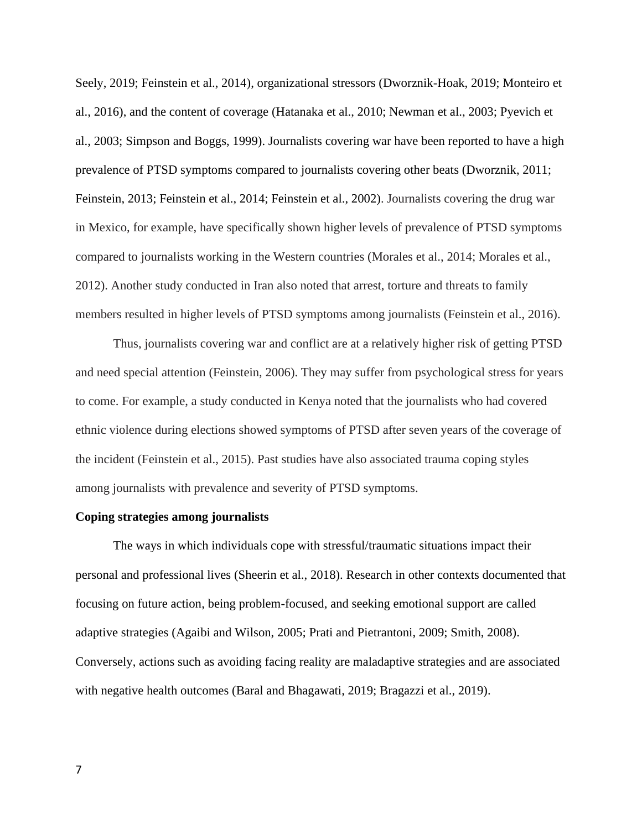Seely, 2019; Feinstein et al., 2014), organizational stressors (Dworznik-Hoak, 2019; Monteiro et al., 2016), and the content of coverage (Hatanaka et al., 2010; Newman et al., 2003; Pyevich et al., 2003; Simpson and Boggs, 1999). Journalists covering war have been reported to have a high prevalence of PTSD symptoms compared to journalists covering other beats (Dworznik, 2011; Feinstein, 2013; Feinstein et al., 2014; Feinstein et al., 2002). Journalists covering the drug war in Mexico, for example, have specifically shown higher levels of prevalence of PTSD symptoms compared to journalists working in the Western countries (Morales et al., 2014; Morales et al., 2012). Another study conducted in Iran also noted that arrest, torture and threats to family members resulted in higher levels of PTSD symptoms among journalists (Feinstein et al., 2016).

Thus, journalists covering war and conflict are at a relatively higher risk of getting PTSD and need special attention (Feinstein, 2006). They may suffer from psychological stress for years to come. For example, a study conducted in Kenya noted that the journalists who had covered ethnic violence during elections showed symptoms of PTSD after seven years of the coverage of the incident (Feinstein et al., 2015). Past studies have also associated trauma coping styles among journalists with prevalence and severity of PTSD symptoms.

#### **Coping strategies among journalists**

The ways in which individuals cope with stressful/traumatic situations impact their personal and professional lives (Sheerin et al., 2018). Research in other contexts documented that focusing on future action, being problem-focused, and seeking emotional support are called adaptive strategies (Agaibi and Wilson, 2005; Prati and Pietrantoni, 2009; Smith, 2008). Conversely, actions such as avoiding facing reality are maladaptive strategies and are associated with negative health outcomes (Baral and Bhagawati, 2019; Bragazzi et al., 2019).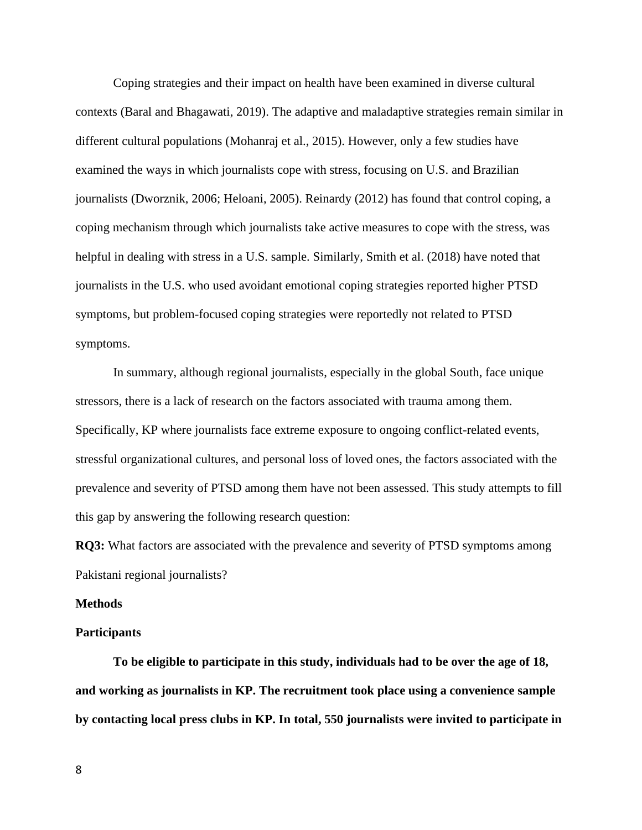Coping strategies and their impact on health have been examined in diverse cultural contexts (Baral and Bhagawati, 2019). The adaptive and maladaptive strategies remain similar in different cultural populations (Mohanraj et al., 2015). However, only a few studies have examined the ways in which journalists cope with stress, focusing on U.S. and Brazilian journalists (Dworznik, 2006; Heloani, 2005). Reinardy (2012) has found that control coping, a coping mechanism through which journalists take active measures to cope with the stress, was helpful in dealing with stress in a U.S. sample. Similarly, Smith et al. (2018) have noted that journalists in the U.S. who used avoidant emotional coping strategies reported higher PTSD symptoms, but problem-focused coping strategies were reportedly not related to PTSD symptoms.

In summary, although regional journalists, especially in the global South, face unique stressors, there is a lack of research on the factors associated with trauma among them. Specifically, KP where journalists face extreme exposure to ongoing conflict-related events, stressful organizational cultures, and personal loss of loved ones, the factors associated with the prevalence and severity of PTSD among them have not been assessed. This study attempts to fill this gap by answering the following research question:

**RQ3:** What factors are associated with the prevalence and severity of PTSD symptoms among Pakistani regional journalists?

#### **Methods**

#### **Participants**

**To be eligible to participate in this study, individuals had to be over the age of 18, and working as journalists in KP. The recruitment took place using a convenience sample by contacting local press clubs in KP. In total, 550 journalists were invited to participate in**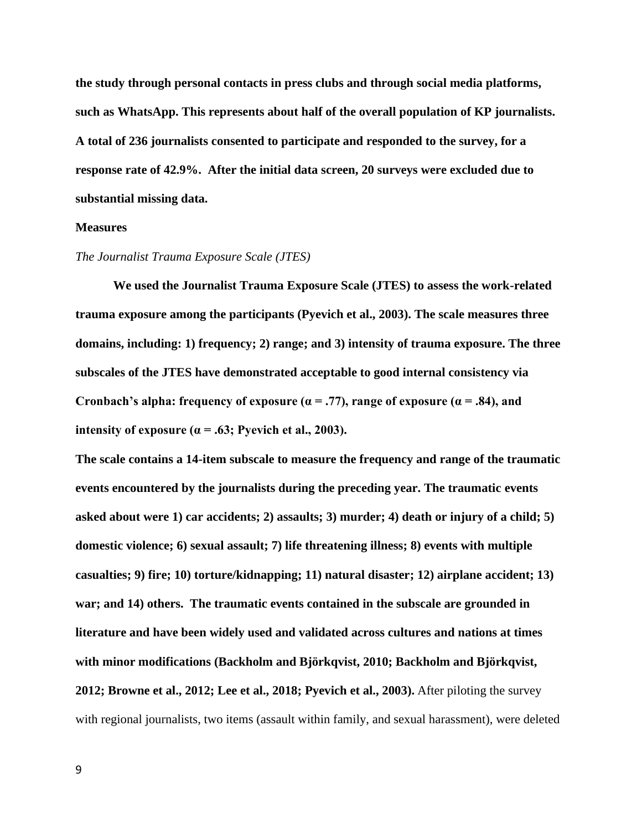**the study through personal contacts in press clubs and through social media platforms, such as WhatsApp. This represents about half of the overall population of KP journalists. A total of 236 journalists consented to participate and responded to the survey, for a response rate of 42.9%. After the initial data screen, 20 surveys were excluded due to substantial missing data.** 

#### **Measures**

#### *The Journalist Trauma Exposure Scale (JTES)*

**We used the Journalist Trauma Exposure Scale (JTES) to assess the work-related trauma exposure among the participants (Pyevich et al., 2003). The scale measures three domains, including: 1) frequency; 2) range; and 3) intensity of trauma exposure. The three subscales of the JTES have demonstrated acceptable to good internal consistency via**  Cronbach's alpha: frequency of exposure  $(a = .77)$ , range of exposure  $(a = .84)$ , and **intensity of exposure (** $\alpha$  **= .63; Pyevich et al., 2003).** 

**The scale contains a 14-item subscale to measure the frequency and range of the traumatic events encountered by the journalists during the preceding year. The traumatic events asked about were 1) car accidents; 2) assaults; 3) murder; 4) death or injury of a child; 5) domestic violence; 6) sexual assault; 7) life threatening illness; 8) events with multiple casualties; 9) fire; 10) torture/kidnapping; 11) natural disaster; 12) airplane accident; 13) war; and 14) others. The traumatic events contained in the subscale are grounded in literature and have been widely used and validated across cultures and nations at times with minor modifications (Backholm and Björkqvist, 2010; Backholm and Björkqvist, 2012; Browne et al., 2012; Lee et al., 2018; Pyevich et al., 2003).** After piloting the survey with regional journalists, two items (assault within family, and sexual harassment), were deleted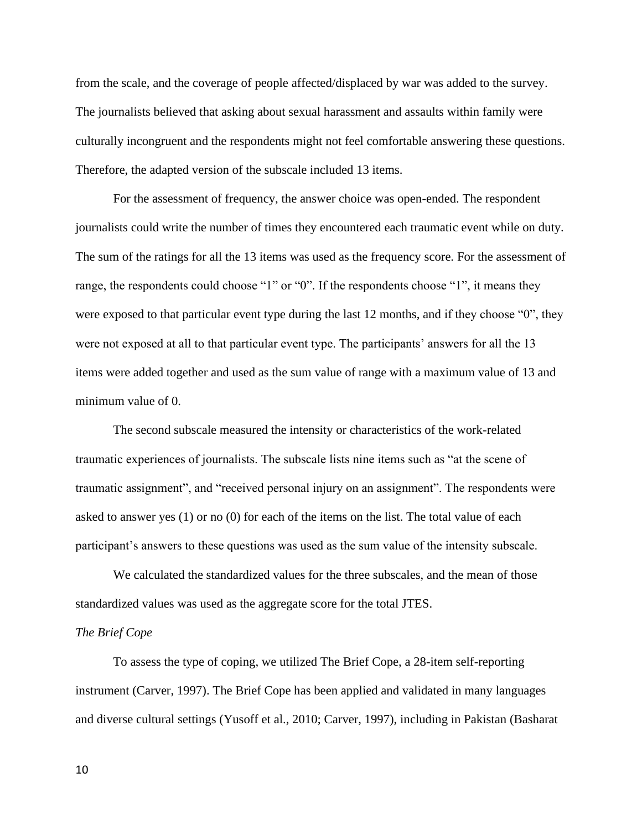from the scale, and the coverage of people affected/displaced by war was added to the survey. The journalists believed that asking about sexual harassment and assaults within family were culturally incongruent and the respondents might not feel comfortable answering these questions. Therefore, the adapted version of the subscale included 13 items.

For the assessment of frequency, the answer choice was open-ended. The respondent journalists could write the number of times they encountered each traumatic event while on duty. The sum of the ratings for all the 13 items was used as the frequency score. For the assessment of range, the respondents could choose "1" or "0". If the respondents choose "1", it means they were exposed to that particular event type during the last 12 months, and if they choose "0", they were not exposed at all to that particular event type. The participants' answers for all the 13 items were added together and used as the sum value of range with a maximum value of 13 and minimum value of 0.

The second subscale measured the intensity or characteristics of the work-related traumatic experiences of journalists. The subscale lists nine items such as "at the scene of traumatic assignment", and "received personal injury on an assignment". The respondents were asked to answer yes (1) or no (0) for each of the items on the list. The total value of each participant's answers to these questions was used as the sum value of the intensity subscale.

We calculated the standardized values for the three subscales, and the mean of those standardized values was used as the aggregate score for the total JTES.

## *The Brief Cope*

To assess the type of coping, we utilized The Brief Cope, a 28-item self-reporting instrument (Carver, 1997). The Brief Cope has been applied and validated in many languages and diverse cultural settings (Yusoff et al., 2010; Carver, 1997), including in Pakistan (Basharat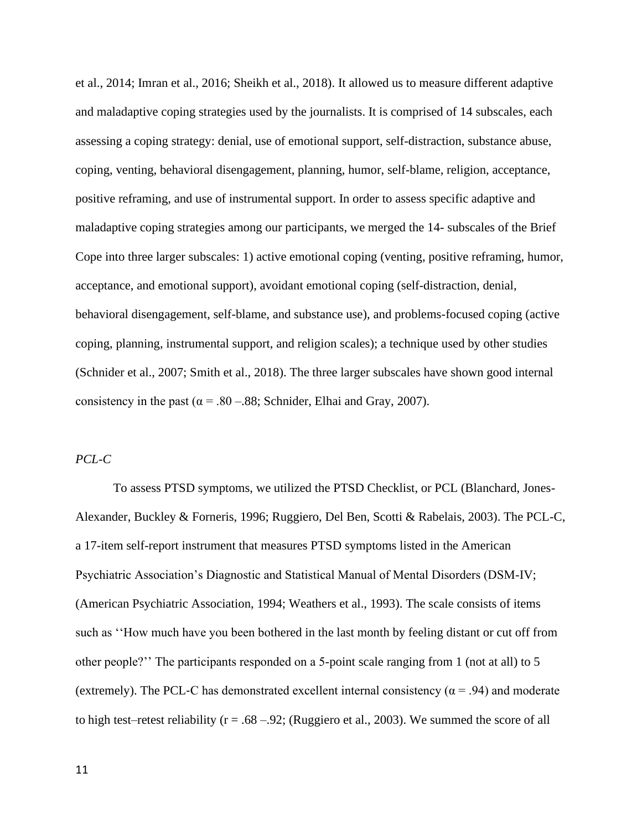et al., 2014; Imran et al., 2016; Sheikh et al., 2018). It allowed us to measure different adaptive and maladaptive coping strategies used by the journalists. It is comprised of 14 subscales, each assessing a coping strategy: denial, use of emotional support, self-distraction, substance abuse, coping, venting, behavioral disengagement, planning, humor, self-blame, religion, acceptance, positive reframing, and use of instrumental support. In order to assess specific adaptive and maladaptive coping strategies among our participants, we merged the 14- subscales of the Brief Cope into three larger subscales: 1) active emotional coping (venting, positive reframing, humor, acceptance, and emotional support), avoidant emotional coping (self-distraction, denial, behavioral disengagement, self-blame, and substance use), and problems-focused coping (active coping, planning, instrumental support, and religion scales); a technique used by other studies (Schnider et al., 2007; Smith et al., 2018). The three larger subscales have shown good internal consistency in the past ( $\alpha = .80 - .88$ ; Schnider, Elhai and Gray, 2007).

## *PCL-C*

To assess PTSD symptoms, we utilized the PTSD Checklist, or PCL (Blanchard, Jones-Alexander, Buckley & Forneris, 1996; Ruggiero, Del Ben, Scotti & Rabelais, 2003). The PCL-C, a 17-item self-report instrument that measures PTSD symptoms listed in the American Psychiatric Association's Diagnostic and Statistical Manual of Mental Disorders (DSM-IV; (American Psychiatric Association, 1994; Weathers et al., 1993). The scale consists of items such as ''How much have you been bothered in the last month by feeling distant or cut off from other people?'' The participants responded on a 5-point scale ranging from 1 (not at all) to 5 (extremely). The PCL-C has demonstrated excellent internal consistency ( $\alpha$  = .94) and moderate to high test–retest reliability ( $r = .68 - .92$ ; (Ruggiero et al., 2003). We summed the score of all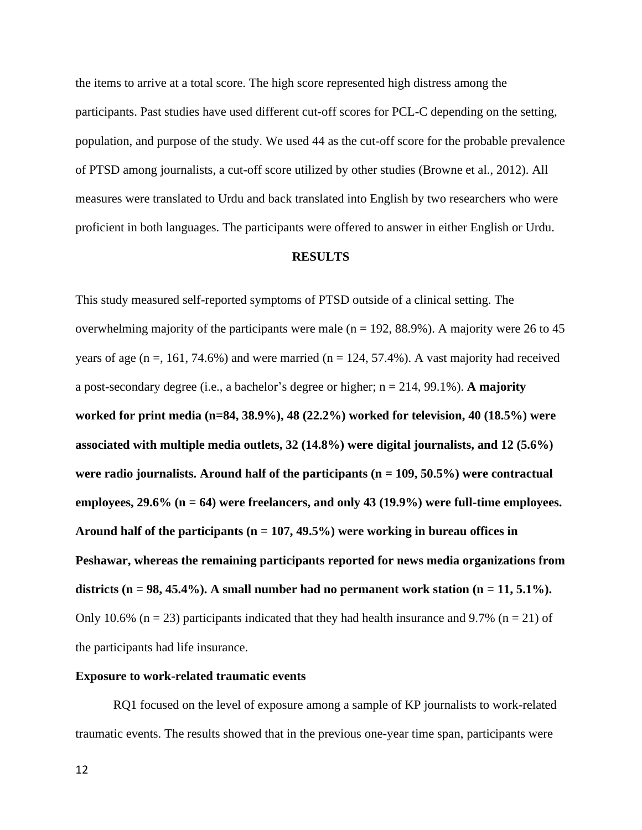the items to arrive at a total score. The high score represented high distress among the participants. Past studies have used different cut-off scores for PCL-C depending on the setting, population, and purpose of the study. We used 44 as the cut-off score for the probable prevalence of PTSD among journalists, a cut-off score utilized by other studies (Browne et al., 2012). All measures were translated to Urdu and back translated into English by two researchers who were proficient in both languages. The participants were offered to answer in either English or Urdu.

#### **RESULTS**

This study measured self-reported symptoms of PTSD outside of a clinical setting. The overwhelming majority of the participants were male ( $n = 192, 88.9\%$ ). A majority were 26 to 45 years of age ( $n = 161, 74.6\%$ ) and were married ( $n = 124, 57.4\%$ ). A vast majority had received a post-secondary degree (i.e., a bachelor's degree or higher; n = 214, 99.1%). **A majority worked for print media (n=84, 38.9%), 48 (22.2%) worked for television, 40 (18.5%) were associated with multiple media outlets, 32 (14.8%) were digital journalists, and 12 (5.6%) were radio journalists. Around half of the participants (n = 109, 50.5%) were contractual employees, 29.6% (n = 64) were freelancers, and only 43 (19.9%) were full-time employees. Around half of the participants (n = 107, 49.5%) were working in bureau offices in Peshawar, whereas the remaining participants reported for news media organizations from**  districts ( $n = 98, 45.4\%$ ). A small number had no permanent work station ( $n = 11, 5.1\%$ ). Only 10.6% (n = 23) participants indicated that they had health insurance and 9.7% (n = 21) of the participants had life insurance.

## **Exposure to work-related traumatic events**

RQ1 focused on the level of exposure among a sample of KP journalists to work-related traumatic events. The results showed that in the previous one-year time span, participants were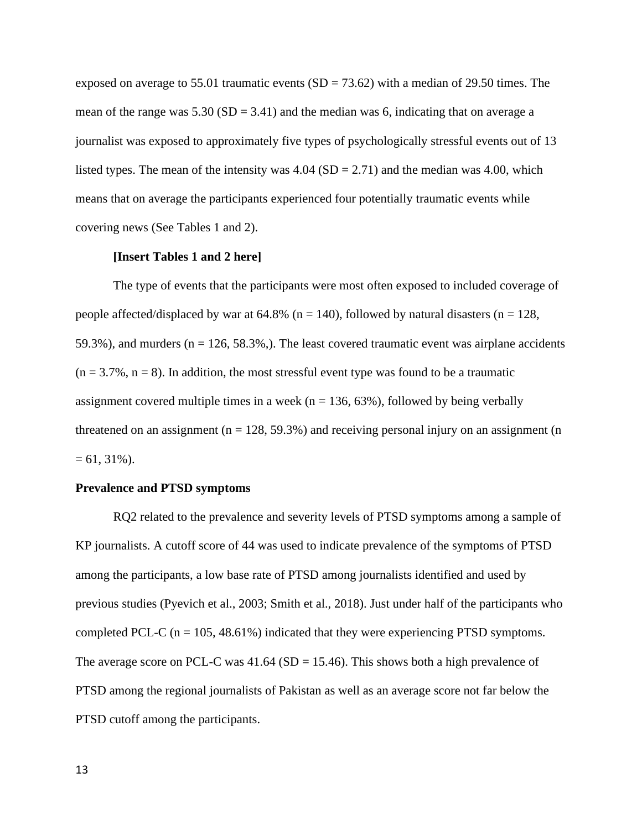exposed on average to 55.01 traumatic events  $(SD = 73.62)$  with a median of 29.50 times. The mean of the range was  $5.30$  (SD = 3.41) and the median was 6, indicating that on average a journalist was exposed to approximately five types of psychologically stressful events out of 13 listed types. The mean of the intensity was  $4.04$  (SD = 2.71) and the median was 4.00, which means that on average the participants experienced four potentially traumatic events while covering news (See Tables 1 and 2).

## **[Insert Tables 1 and 2 here]**

The type of events that the participants were most often exposed to included coverage of people affected/displaced by war at 64.8% ( $n = 140$ ), followed by natural disasters ( $n = 128$ , 59.3%), and murders ( $n = 126, 58.3\%$ ). The least covered traumatic event was airplane accidents  $(n = 3.7\%, n = 8)$ . In addition, the most stressful event type was found to be a traumatic assignment covered multiple times in a week ( $n = 136, 63\%$ ), followed by being verbally threatened on an assignment ( $n = 128, 59.3\%$ ) and receiving personal injury on an assignment (n  $= 61, 31\%$ ).

#### **Prevalence and PTSD symptoms**

RQ2 related to the prevalence and severity levels of PTSD symptoms among a sample of KP journalists. A cutoff score of 44 was used to indicate prevalence of the symptoms of PTSD among the participants, a low base rate of PTSD among journalists identified and used by previous studies (Pyevich et al., 2003; Smith et al., 2018). Just under half of the participants who completed PCL-C ( $n = 105, 48.61\%$ ) indicated that they were experiencing PTSD symptoms. The average score on PCL-C was  $41.64$  (SD = 15.46). This shows both a high prevalence of PTSD among the regional journalists of Pakistan as well as an average score not far below the PTSD cutoff among the participants.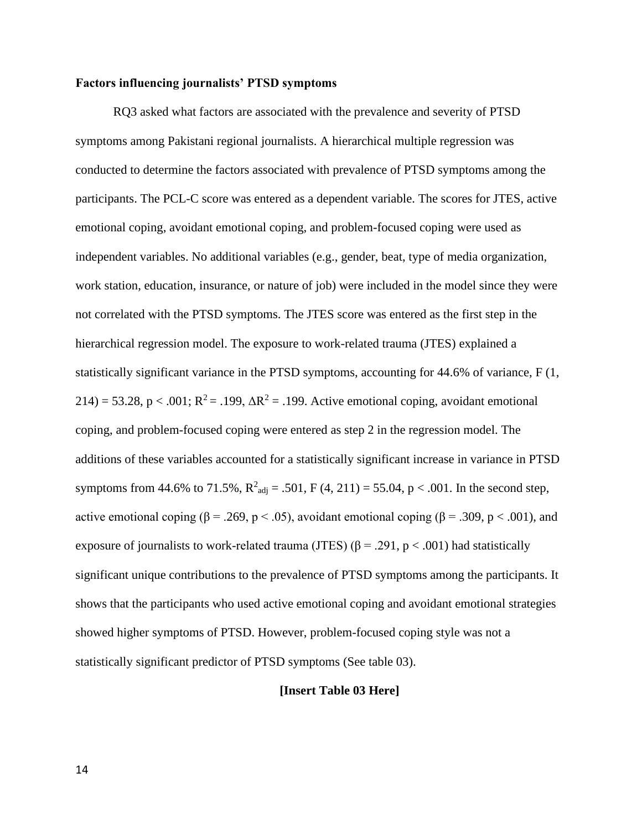## **Factors influencing journalists' PTSD symptoms**

RQ3 asked what factors are associated with the prevalence and severity of PTSD symptoms among Pakistani regional journalists. A hierarchical multiple regression was conducted to determine the factors associated with prevalence of PTSD symptoms among the participants. The PCL-C score was entered as a dependent variable. The scores for JTES, active emotional coping, avoidant emotional coping, and problem-focused coping were used as independent variables. No additional variables (e.g., gender, beat, type of media organization, work station, education, insurance, or nature of job) were included in the model since they were not correlated with the PTSD symptoms. The JTES score was entered as the first step in the hierarchical regression model. The exposure to work-related trauma (JTES) explained a statistically significant variance in the PTSD symptoms, accounting for 44.6% of variance, F (1, 214) = 53.28, p < .001;  $R^2$  = .199,  $\Delta R^2$  = .199. Active emotional coping, avoidant emotional coping, and problem-focused coping were entered as step 2 in the regression model. The additions of these variables accounted for a statistically significant increase in variance in PTSD symptoms from 44.6% to 71.5%,  $R^2_{adj} = .501$ , F (4, 211) = 55.04, p < .001. In the second step, active emotional coping ( $\beta = .269$ ,  $p < .05$ ), avoidant emotional coping ( $\beta = .309$ ,  $p < .001$ ), and exposure of journalists to work-related trauma (JTES) ( $\beta$  = .291, p < .001) had statistically significant unique contributions to the prevalence of PTSD symptoms among the participants. It shows that the participants who used active emotional coping and avoidant emotional strategies showed higher symptoms of PTSD. However, problem-focused coping style was not a statistically significant predictor of PTSD symptoms (See table 03).

## **[Insert Table 03 Here]**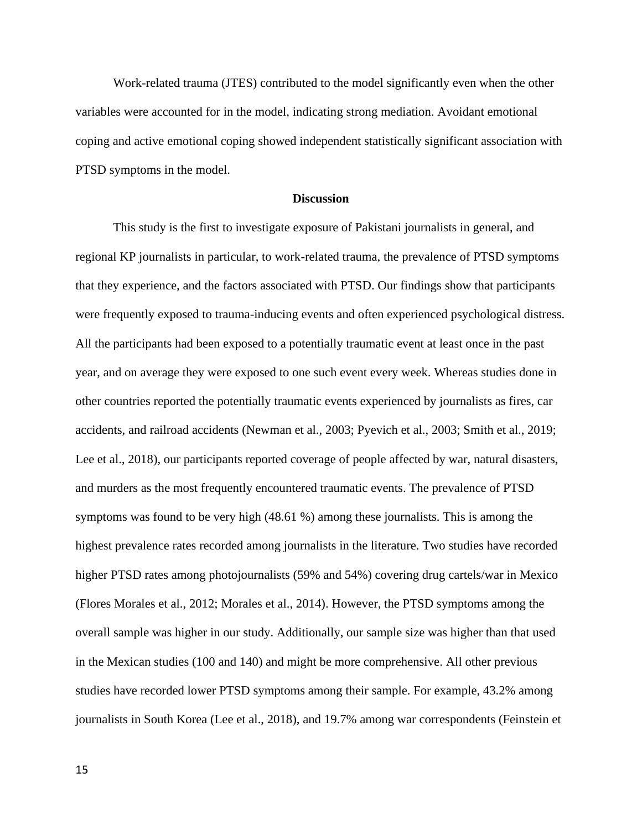Work-related trauma (JTES) contributed to the model significantly even when the other variables were accounted for in the model, indicating strong mediation. Avoidant emotional coping and active emotional coping showed independent statistically significant association with PTSD symptoms in the model.

#### **Discussion**

This study is the first to investigate exposure of Pakistani journalists in general, and regional KP journalists in particular, to work-related trauma, the prevalence of PTSD symptoms that they experience, and the factors associated with PTSD. Our findings show that participants were frequently exposed to trauma-inducing events and often experienced psychological distress. All the participants had been exposed to a potentially traumatic event at least once in the past year, and on average they were exposed to one such event every week. Whereas studies done in other countries reported the potentially traumatic events experienced by journalists as fires, car accidents, and railroad accidents (Newman et al., 2003; Pyevich et al., 2003; Smith et al., 2019; Lee et al., 2018), our participants reported coverage of people affected by war, natural disasters, and murders as the most frequently encountered traumatic events. The prevalence of PTSD symptoms was found to be very high (48.61 %) among these journalists. This is among the highest prevalence rates recorded among journalists in the literature. Two studies have recorded higher PTSD rates among photojournalists (59% and 54%) covering drug cartels/war in Mexico (Flores Morales et al., 2012; Morales et al., 2014). However, the PTSD symptoms among the overall sample was higher in our study. Additionally, our sample size was higher than that used in the Mexican studies (100 and 140) and might be more comprehensive. All other previous studies have recorded lower PTSD symptoms among their sample. For example, 43.2% among journalists in South Korea (Lee et al., 2018), and 19.7% among war correspondents (Feinstein et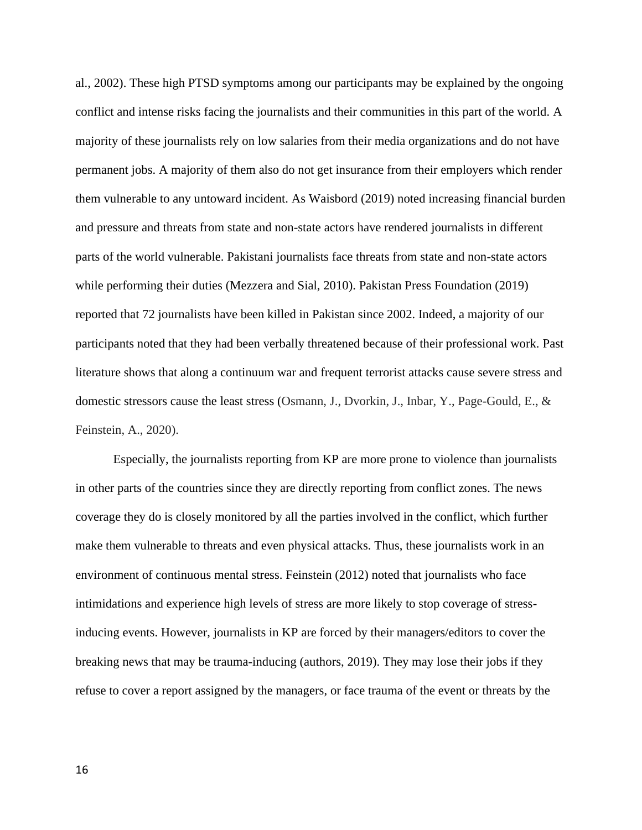al., 2002). These high PTSD symptoms among our participants may be explained by the ongoing conflict and intense risks facing the journalists and their communities in this part of the world. A majority of these journalists rely on low salaries from their media organizations and do not have permanent jobs. A majority of them also do not get insurance from their employers which render them vulnerable to any untoward incident. As Waisbord (2019) noted increasing financial burden and pressure and threats from state and non-state actors have rendered journalists in different parts of the world vulnerable. Pakistani journalists face threats from state and non-state actors while performing their duties (Mezzera and Sial, 2010). Pakistan Press Foundation (2019) reported that 72 journalists have been killed in Pakistan since 2002. Indeed, a majority of our participants noted that they had been verbally threatened because of their professional work. Past literature shows that along a continuum war and frequent terrorist attacks cause severe stress and domestic stressors cause the least stress (Osmann, J., Dvorkin, J., Inbar, Y., Page-Gould, E., & Feinstein, A., 2020).

Especially, the journalists reporting from KP are more prone to violence than journalists in other parts of the countries since they are directly reporting from conflict zones. The news coverage they do is closely monitored by all the parties involved in the conflict, which further make them vulnerable to threats and even physical attacks. Thus, these journalists work in an environment of continuous mental stress. Feinstein (2012) noted that journalists who face intimidations and experience high levels of stress are more likely to stop coverage of stressinducing events. However, journalists in KP are forced by their managers/editors to cover the breaking news that may be trauma-inducing (authors, 2019). They may lose their jobs if they refuse to cover a report assigned by the managers, or face trauma of the event or threats by the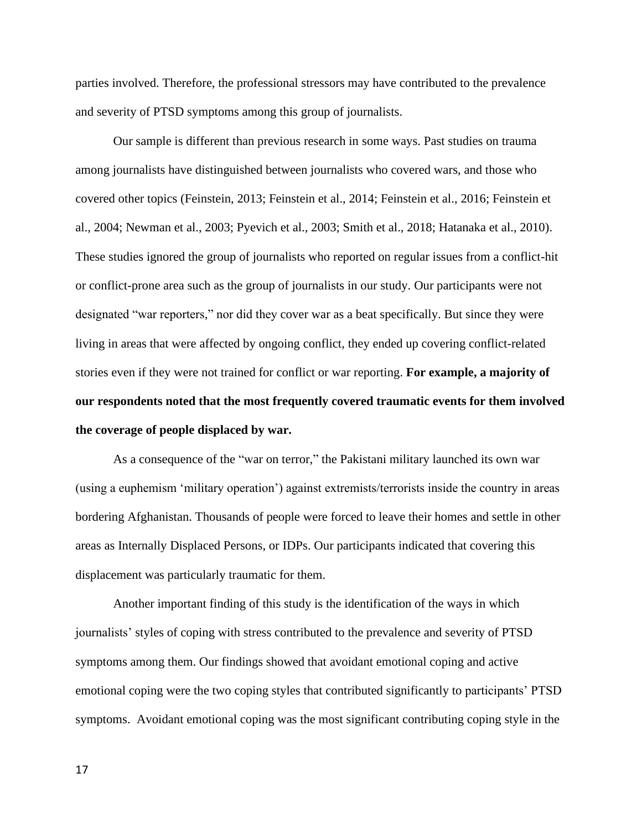parties involved. Therefore, the professional stressors may have contributed to the prevalence and severity of PTSD symptoms among this group of journalists.

Our sample is different than previous research in some ways. Past studies on trauma among journalists have distinguished between journalists who covered wars, and those who covered other topics (Feinstein, 2013; Feinstein et al., 2014; Feinstein et al., 2016; Feinstein et al., 2004; Newman et al., 2003; Pyevich et al., 2003; Smith et al., 2018; Hatanaka et al., 2010). These studies ignored the group of journalists who reported on regular issues from a conflict-hit or conflict-prone area such as the group of journalists in our study. Our participants were not designated "war reporters," nor did they cover war as a beat specifically. But since they were living in areas that were affected by ongoing conflict, they ended up covering conflict-related stories even if they were not trained for conflict or war reporting. **For example, a majority of our respondents noted that the most frequently covered traumatic events for them involved the coverage of people displaced by war.** 

As a consequence of the "war on terror," the Pakistani military launched its own war (using a euphemism 'military operation') against extremists/terrorists inside the country in areas bordering Afghanistan. Thousands of people were forced to leave their homes and settle in other areas as Internally Displaced Persons, or IDPs. Our participants indicated that covering this displacement was particularly traumatic for them.

Another important finding of this study is the identification of the ways in which journalists' styles of coping with stress contributed to the prevalence and severity of PTSD symptoms among them. Our findings showed that avoidant emotional coping and active emotional coping were the two coping styles that contributed significantly to participants' PTSD symptoms. Avoidant emotional coping was the most significant contributing coping style in the

17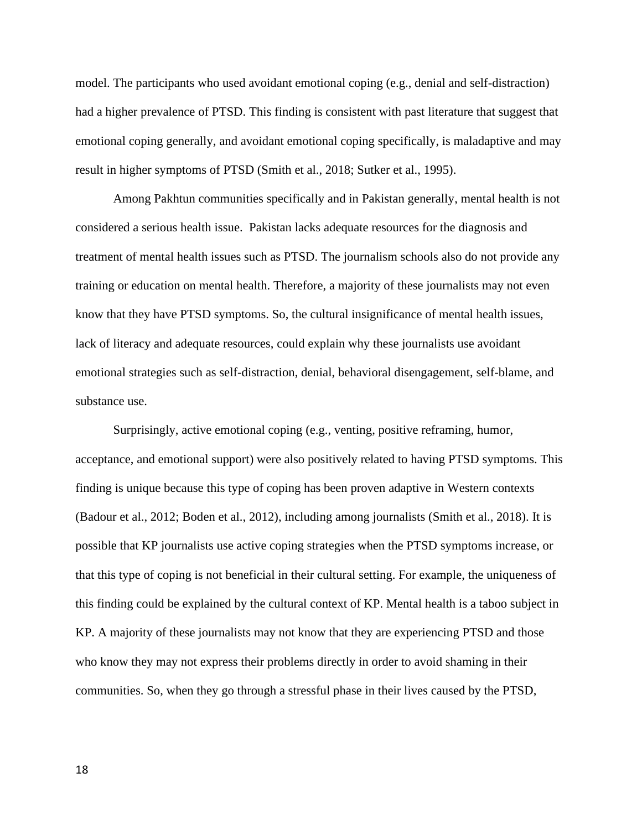model. The participants who used avoidant emotional coping (e.g., denial and self-distraction) had a higher prevalence of PTSD. This finding is consistent with past literature that suggest that emotional coping generally, and avoidant emotional coping specifically, is maladaptive and may result in higher symptoms of PTSD (Smith et al., 2018; Sutker et al., 1995).

Among Pakhtun communities specifically and in Pakistan generally, mental health is not considered a serious health issue. Pakistan lacks adequate resources for the diagnosis and treatment of mental health issues such as PTSD. The journalism schools also do not provide any training or education on mental health. Therefore, a majority of these journalists may not even know that they have PTSD symptoms. So, the cultural insignificance of mental health issues, lack of literacy and adequate resources, could explain why these journalists use avoidant emotional strategies such as self-distraction, denial, behavioral disengagement, self-blame, and substance use.

Surprisingly, active emotional coping (e.g., venting, positive reframing, humor, acceptance, and emotional support) were also positively related to having PTSD symptoms. This finding is unique because this type of coping has been proven adaptive in Western contexts (Badour et al., 2012; Boden et al., 2012), including among journalists (Smith et al., 2018). It is possible that KP journalists use active coping strategies when the PTSD symptoms increase, or that this type of coping is not beneficial in their cultural setting. For example, the uniqueness of this finding could be explained by the cultural context of KP. Mental health is a taboo subject in KP. A majority of these journalists may not know that they are experiencing PTSD and those who know they may not express their problems directly in order to avoid shaming in their communities. So, when they go through a stressful phase in their lives caused by the PTSD,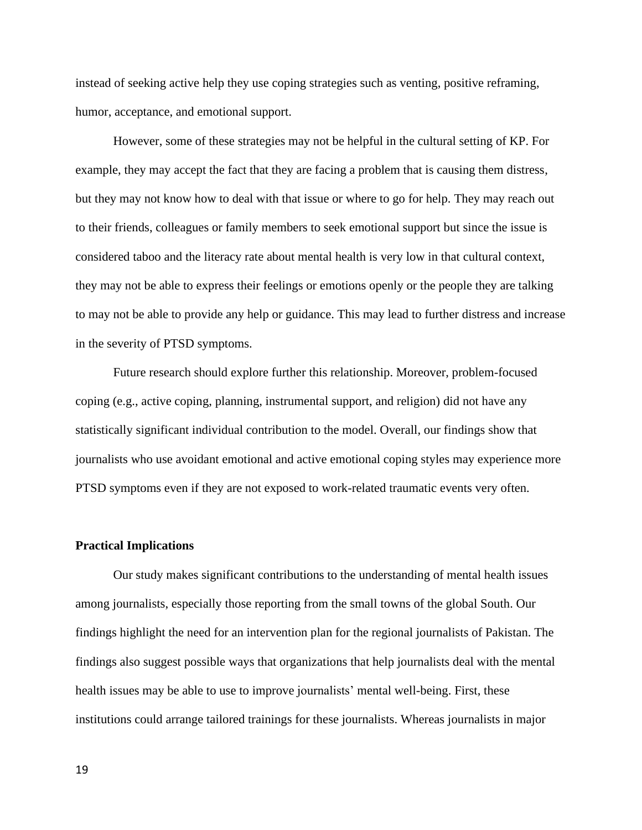instead of seeking active help they use coping strategies such as venting, positive reframing, humor, acceptance, and emotional support.

However, some of these strategies may not be helpful in the cultural setting of KP. For example, they may accept the fact that they are facing a problem that is causing them distress, but they may not know how to deal with that issue or where to go for help. They may reach out to their friends, colleagues or family members to seek emotional support but since the issue is considered taboo and the literacy rate about mental health is very low in that cultural context, they may not be able to express their feelings or emotions openly or the people they are talking to may not be able to provide any help or guidance. This may lead to further distress and increase in the severity of PTSD symptoms.

Future research should explore further this relationship. Moreover, problem-focused coping (e.g., active coping, planning, instrumental support, and religion) did not have any statistically significant individual contribution to the model. Overall, our findings show that journalists who use avoidant emotional and active emotional coping styles may experience more PTSD symptoms even if they are not exposed to work-related traumatic events very often.

## **Practical Implications**

Our study makes significant contributions to the understanding of mental health issues among journalists, especially those reporting from the small towns of the global South. Our findings highlight the need for an intervention plan for the regional journalists of Pakistan. The findings also suggest possible ways that organizations that help journalists deal with the mental health issues may be able to use to improve journalists' mental well-being. First, these institutions could arrange tailored trainings for these journalists. Whereas journalists in major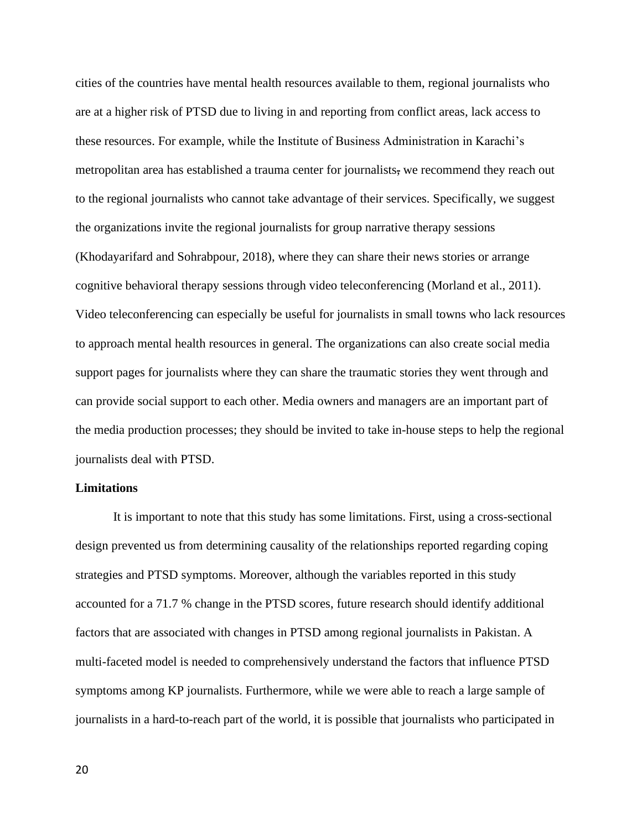cities of the countries have mental health resources available to them, regional journalists who are at a higher risk of PTSD due to living in and reporting from conflict areas, lack access to these resources. For example, while the Institute of Business Administration in Karachi's metropolitan area has established a trauma center for journalists, we recommend they reach out to the regional journalists who cannot take advantage of their services. Specifically, we suggest the organizations invite the regional journalists for group narrative therapy sessions (Khodayarifard and Sohrabpour, 2018), where they can share their news stories or arrange cognitive behavioral therapy sessions through video teleconferencing (Morland et al., 2011). Video teleconferencing can especially be useful for journalists in small towns who lack resources to approach mental health resources in general. The organizations can also create social media support pages for journalists where they can share the traumatic stories they went through and can provide social support to each other. Media owners and managers are an important part of the media production processes; they should be invited to take in-house steps to help the regional journalists deal with PTSD.

### **Limitations**

It is important to note that this study has some limitations. First, using a cross-sectional design prevented us from determining causality of the relationships reported regarding coping strategies and PTSD symptoms. Moreover, although the variables reported in this study accounted for a 71.7 % change in the PTSD scores, future research should identify additional factors that are associated with changes in PTSD among regional journalists in Pakistan. A multi-faceted model is needed to comprehensively understand the factors that influence PTSD symptoms among KP journalists. Furthermore, while we were able to reach a large sample of journalists in a hard-to-reach part of the world, it is possible that journalists who participated in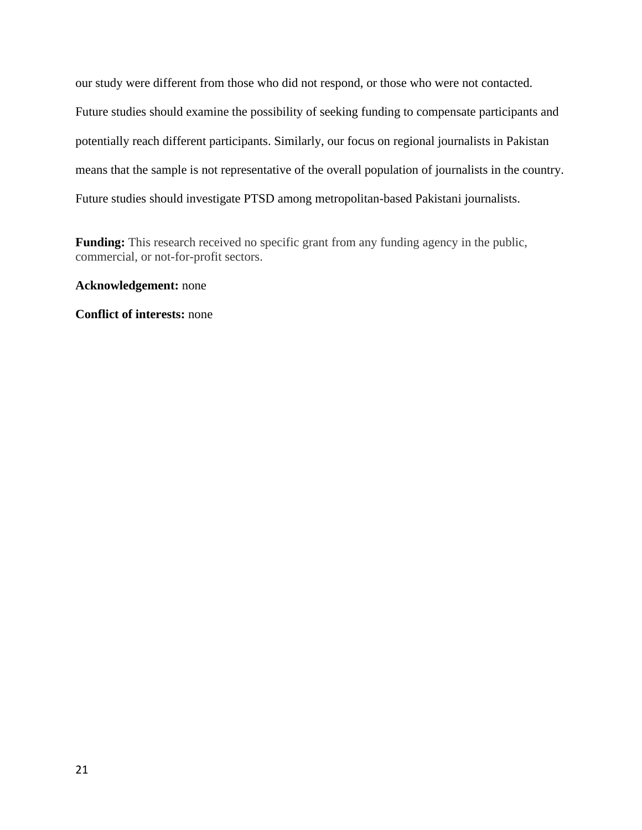our study were different from those who did not respond, or those who were not contacted. Future studies should examine the possibility of seeking funding to compensate participants and potentially reach different participants. Similarly, our focus on regional journalists in Pakistan means that the sample is not representative of the overall population of journalists in the country. Future studies should investigate PTSD among metropolitan-based Pakistani journalists.

**Funding:** This research received no specific grant from any funding agency in the public, commercial, or not-for-profit sectors.

## **Acknowledgement:** none

**Conflict of interests:** none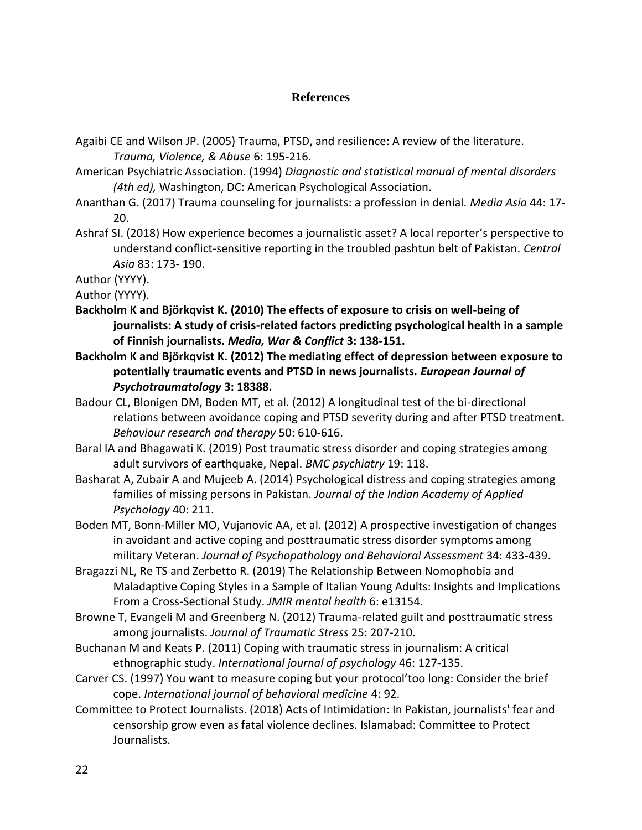## **References**

- Agaibi CE and Wilson JP. (2005) Trauma, PTSD, and resilience: A review of the literature. *Trauma, Violence, & Abuse* 6: 195-216.
- American Psychiatric Association. (1994) *Diagnostic and statistical manual of mental disorders (4th ed),* Washington, DC: American Psychological Association.
- Ananthan G. (2017) Trauma counseling for journalists: a profession in denial. *Media Asia* 44: 17- 20.
- Ashraf SI. (2018) How experience becomes a journalistic asset? A local reporter's perspective to understand conflict-sensitive reporting in the troubled pashtun belt of Pakistan. *Central Asia* 83: 173- 190.

Author (YYYY).

Author (YYYY).

- **Backholm K and Björkqvist K. (2010) The effects of exposure to crisis on well-being of journalists: A study of crisis-related factors predicting psychological health in a sample of Finnish journalists.** *Media, War & Conflict* **3: 138-151.**
- **Backholm K and Björkqvist K. (2012) The mediating effect of depression between exposure to potentially traumatic events and PTSD in news journalists.** *European Journal of Psychotraumatology* **3: 18388.**
- Badour CL, Blonigen DM, Boden MT, et al. (2012) A longitudinal test of the bi-directional relations between avoidance coping and PTSD severity during and after PTSD treatment. *Behaviour research and therapy* 50: 610-616.
- Baral IA and Bhagawati K. (2019) Post traumatic stress disorder and coping strategies among adult survivors of earthquake, Nepal. *BMC psychiatry* 19: 118.
- Basharat A, Zubair A and Mujeeb A. (2014) Psychological distress and coping strategies among families of missing persons in Pakistan. *Journal of the Indian Academy of Applied Psychology* 40: 211.
- Boden MT, Bonn-Miller MO, Vujanovic AA, et al. (2012) A prospective investigation of changes in avoidant and active coping and posttraumatic stress disorder symptoms among military Veteran. *Journal of Psychopathology and Behavioral Assessment* 34: 433-439.
- Bragazzi NL, Re TS and Zerbetto R. (2019) The Relationship Between Nomophobia and Maladaptive Coping Styles in a Sample of Italian Young Adults: Insights and Implications From a Cross-Sectional Study. *JMIR mental health* 6: e13154.
- Browne T, Evangeli M and Greenberg N. (2012) Trauma‐related guilt and posttraumatic stress among journalists. *Journal of Traumatic Stress* 25: 207-210.
- Buchanan M and Keats P. (2011) Coping with traumatic stress in journalism: A critical ethnographic study. *International journal of psychology* 46: 127-135.
- Carver CS. (1997) You want to measure coping but your protocol'too long: Consider the brief cope. *International journal of behavioral medicine* 4: 92.
- Committee to Protect Journalists. (2018) Acts of Intimidation: In Pakistan, journalists' fear and censorship grow even as fatal violence declines. Islamabad: Committee to Protect Journalists.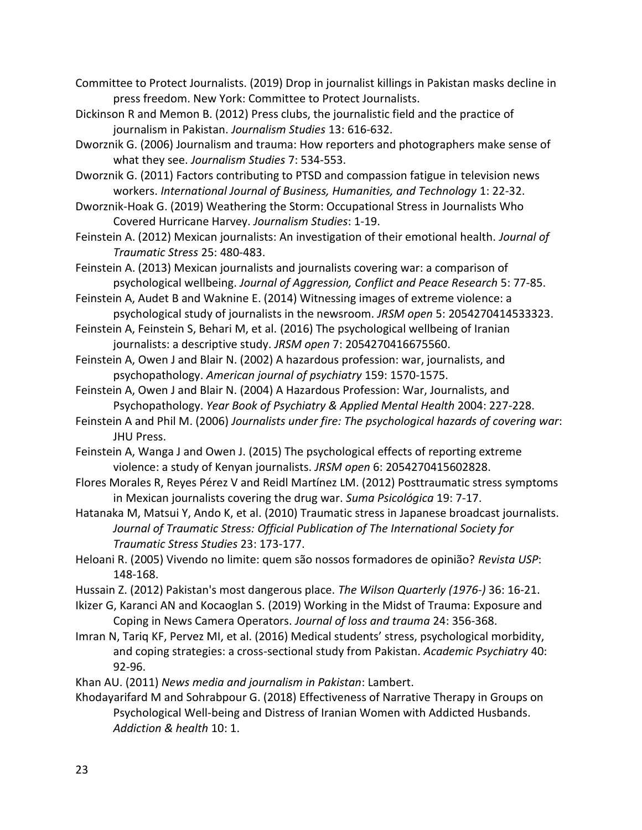Committee to Protect Journalists. (2019) Drop in journalist killings in Pakistan masks decline in press freedom. New York: Committee to Protect Journalists.

Dickinson R and Memon B. (2012) Press clubs, the journalistic field and the practice of journalism in Pakistan. *Journalism Studies* 13: 616-632.

Dworznik G. (2006) Journalism and trauma: How reporters and photographers make sense of what they see. *Journalism Studies* 7: 534-553.

Dworznik G. (2011) Factors contributing to PTSD and compassion fatigue in television news workers. *International Journal of Business, Humanities, and Technology* 1: 22-32.

Dworznik-Hoak G. (2019) Weathering the Storm: Occupational Stress in Journalists Who Covered Hurricane Harvey. *Journalism Studies*: 1-19.

Feinstein A. (2012) Mexican journalists: An investigation of their emotional health. *Journal of Traumatic Stress* 25: 480-483.

Feinstein A. (2013) Mexican journalists and journalists covering war: a comparison of psychological wellbeing. *Journal of Aggression, Conflict and Peace Research* 5: 77-85.

Feinstein A, Audet B and Waknine E. (2014) Witnessing images of extreme violence: a psychological study of journalists in the newsroom. *JRSM open* 5: 2054270414533323.

Feinstein A, Feinstein S, Behari M, et al. (2016) The psychological wellbeing of Iranian journalists: a descriptive study. *JRSM open* 7: 2054270416675560.

Feinstein A, Owen J and Blair N. (2002) A hazardous profession: war, journalists, and psychopathology. *American journal of psychiatry* 159: 1570-1575.

Feinstein A, Owen J and Blair N. (2004) A Hazardous Profession: War, Journalists, and Psychopathology. *Year Book of Psychiatry & Applied Mental Health* 2004: 227-228.

Feinstein A and Phil M. (2006) *Journalists under fire: The psychological hazards of covering war*: JHU Press.

Feinstein A, Wanga J and Owen J. (2015) The psychological effects of reporting extreme violence: a study of Kenyan journalists. *JRSM open* 6: 2054270415602828.

Flores Morales R, Reyes Pérez V and Reidl Martínez LM. (2012) Posttraumatic stress symptoms in Mexican journalists covering the drug war. *Suma Psicológica* 19: 7-17.

Hatanaka M, Matsui Y, Ando K, et al. (2010) Traumatic stress in Japanese broadcast journalists. *Journal of Traumatic Stress: Official Publication of The International Society for Traumatic Stress Studies* 23: 173-177.

Heloani R. (2005) Vivendo no limite: quem são nossos formadores de opinião? *Revista USP*: 148-168.

Hussain Z. (2012) Pakistan's most dangerous place. *The Wilson Quarterly (1976-)* 36: 16-21.

Ikizer G, Karanci AN and Kocaoglan S. (2019) Working in the Midst of Trauma: Exposure and Coping in News Camera Operators. *Journal of loss and trauma* 24: 356-368.

Imran N, Tariq KF, Pervez MI, et al. (2016) Medical students' stress, psychological morbidity, and coping strategies: a cross-sectional study from Pakistan. *Academic Psychiatry* 40: 92-96.

Khan AU. (2011) *News media and journalism in Pakistan*: Lambert.

Khodayarifard M and Sohrabpour G. (2018) Effectiveness of Narrative Therapy in Groups on Psychological Well-being and Distress of Iranian Women with Addicted Husbands. *Addiction & health* 10: 1.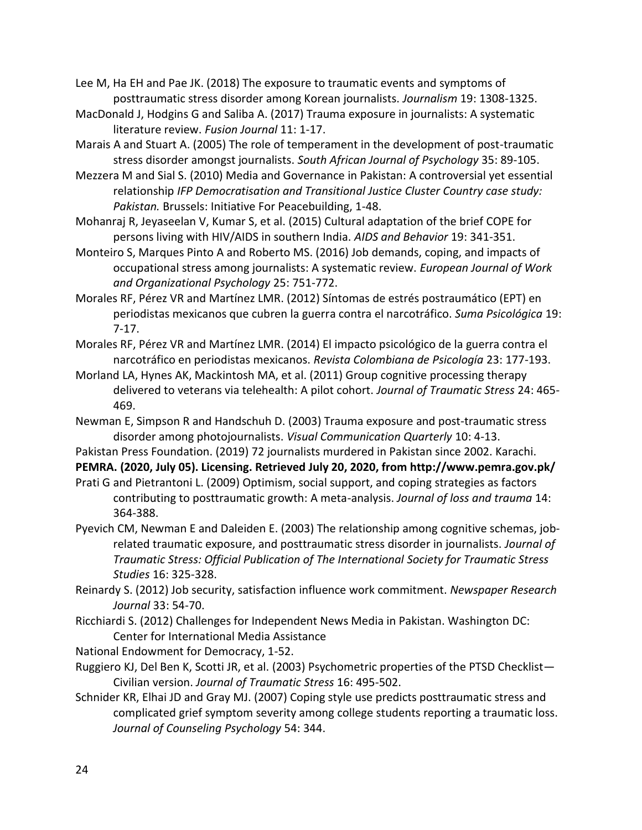Lee M, Ha EH and Pae JK. (2018) The exposure to traumatic events and symptoms of posttraumatic stress disorder among Korean journalists. *Journalism* 19: 1308-1325.

MacDonald J, Hodgins G and Saliba A. (2017) Trauma exposure in journalists: A systematic literature review. *Fusion Journal* 11: 1-17.

Marais A and Stuart A. (2005) The role of temperament in the development of post-traumatic stress disorder amongst journalists. *South African Journal of Psychology* 35: 89-105.

Mezzera M and Sial S. (2010) Media and Governance in Pakistan: A controversial yet essential relationship *IFP Democratisation and Transitional Justice Cluster Country case study: Pakistan.* Brussels: Initiative For Peacebuilding, 1-48.

Mohanraj R, Jeyaseelan V, Kumar S, et al. (2015) Cultural adaptation of the brief COPE for persons living with HIV/AIDS in southern India. *AIDS and Behavior* 19: 341-351.

Monteiro S, Marques Pinto A and Roberto MS. (2016) Job demands, coping, and impacts of occupational stress among journalists: A systematic review. *European Journal of Work and Organizational Psychology* 25: 751-772.

Morales RF, Pérez VR and Martínez LMR. (2012) Síntomas de estrés postraumático (EPT) en periodistas mexicanos que cubren la guerra contra el narcotráfico. *Suma Psicológica* 19: 7-17.

Morales RF, Pérez VR and Martínez LMR. (2014) El impacto psicológico de la guerra contra el narcotráfico en periodistas mexicanos. *Revista Colombiana de Psicología* 23: 177-193.

Morland LA, Hynes AK, Mackintosh MA, et al. (2011) Group cognitive processing therapy delivered to veterans via telehealth: A pilot cohort. *Journal of Traumatic Stress* 24: 465- 469.

Newman E, Simpson R and Handschuh D. (2003) Trauma exposure and post‐traumatic stress disorder among photojournalists. *Visual Communication Quarterly* 10: 4-13.

Pakistan Press Foundation. (2019) 72 journalists murdered in Pakistan since 2002. Karachi.

**PEMRA. (2020, July 05). Licensing. Retrieved July 20, 2020, from http://www.pemra.gov.pk/**

Prati G and Pietrantoni L. (2009) Optimism, social support, and coping strategies as factors contributing to posttraumatic growth: A meta-analysis. *Journal of loss and trauma* 14: 364-388.

Pyevich CM, Newman E and Daleiden E. (2003) The relationship among cognitive schemas, job‐ related traumatic exposure, and posttraumatic stress disorder in journalists. *Journal of Traumatic Stress: Official Publication of The International Society for Traumatic Stress Studies* 16: 325-328.

Reinardy S. (2012) Job security, satisfaction influence work commitment. *Newspaper Research Journal* 33: 54-70.

Ricchiardi S. (2012) Challenges for Independent News Media in Pakistan. Washington DC: Center for International Media Assistance

National Endowment for Democracy, 1-52.

- Ruggiero KJ, Del Ben K, Scotti JR, et al. (2003) Psychometric properties of the PTSD Checklist— Civilian version. *Journal of Traumatic Stress* 16: 495-502.
- Schnider KR, Elhai JD and Gray MJ. (2007) Coping style use predicts posttraumatic stress and complicated grief symptom severity among college students reporting a traumatic loss. *Journal of Counseling Psychology* 54: 344.